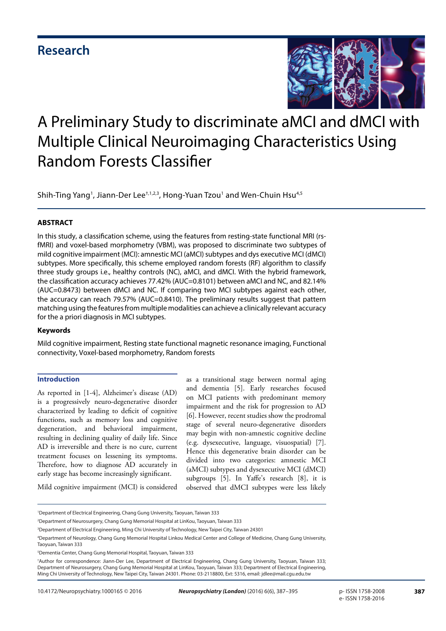

Shih-Ting Yang<sup>1</sup>, Jiann-Der Lee $^{\text{t,1,2,3}}$ , Hong-Yuan Tzou<sup>1</sup> and Wen-Chuin Hsu $^{4,5}$ 

#### **ABSTRACT**

In this study, a classification scheme, using the features from resting-state functional MRI (rsfMRI) and voxel-based morphometry (VBM), was proposed to discriminate two subtypes of mild cognitive impairment (MCI): amnestic MCI (aMCI) subtypes and dys executive MCI (dMCI) subtypes. More specifically, this scheme employed random forests (RF) algorithm to classify three study groups i.e., healthy controls (NC), aMCI, and dMCI. With the hybrid framework, the classification accuracy achieves 77.42% (AUC=0.8101) between aMCI and NC, and 82.14% (AUC=0.8473) between dMCI and NC. If comparing two MCI subtypes against each other, the accuracy can reach 79.57% (AUC=0.8410). The preliminary results suggest that pattern matching using the features from multiple modalities can achieve a clinically relevant accuracy for the a priori diagnosis in MCI subtypes.

#### **Keywords**

Mild cognitive impairment, Resting state functional magnetic resonance imaging, Functional connectivity, Voxel-based morphometry, Random forests

#### **Introduction**

As reported in [1-4], Alzheimer's disease (AD) is a progressively neuro-degenerative disorder characterized by leading to deficit of cognitive functions, such as memory loss and cognitive degeneration, and behavioral impairment, resulting in declining quality of daily life. Since AD is irreversible and there is no cure, current treatment focuses on lessening its symptoms. Therefore, how to diagnose AD accurately in early stage has become increasingly significant.

as a transitional stage between normal aging and dementia [5]. Early researches focused on MCI patients with predominant memory impairment and the risk for progression to AD [6]. However, recent studies show the prodromal stage of several neuro-degenerative disorders may begin with non-amnestic cognitive decline (e.g. dysexecutive, language, visuospatial) [7]. Hence this degenerative brain disorder can be divided into two categories: amnestic MCI (aMCI) subtypes and dysexecutive MCI (dMCI) subgroups [5]. In Yaffe's research [8], it is observed that dMCI subtypes were less likely

Mild cognitive impairment (MCI) is considered

2 Department of Neurosurgery, Chang Gung Memorial Hospital at LinKou, Taoyuan, Taiwan 333

<sup>1</sup> Department of Electrical Engineering, Chang Gung University, Taoyuan, Taiwan 333

<sup>3</sup> Department of Electrical Engineering, Ming Chi University of Technology, New Taipei City, Taiwan 24301

<sup>4</sup> Department of Neurology, Chang Gung Memorial Hospital Linkou Medical Center and College of Medicine, Chang Gung University, Taoyuan, Taiwan 333

<sup>5</sup> Dementia Center, Chang Gung Memorial Hospital, Taoyuan, Taiwan 333

<sup>†</sup> Author for correspondence: Jiann-Der Lee, Department of Electrical Engineering, Chang Gung University, Taoyuan, Taiwan 333; Department of Neurosurgery, Chang Gung Memorial Hospital at LinKou, Taoyuan, Taiwan 333; Department of Electrical Engineering, Ming Chi University of Technology, New Taipei City, Taiwan 24301. Phone: 03-2118800, Ext: 5316, email: jdlee@mail.cgu.edu.tw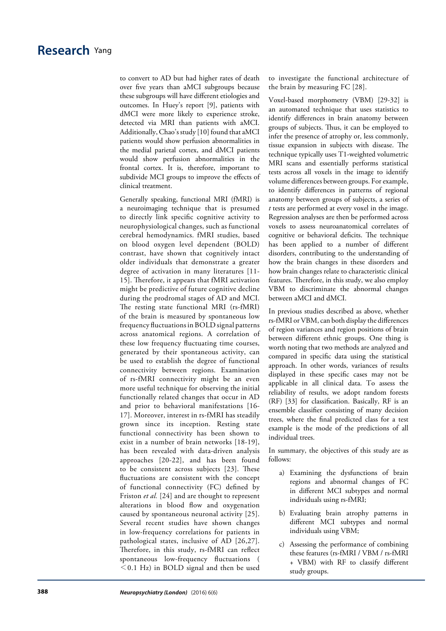# **Research** Yang

to convert to AD but had higher rates of death over five years than aMCI subgroups because these subgroups will have different etiologies and outcomes. In Huey's report [9], patients with dMCI were more likely to experience stroke, detected via MRI than patients with aMCI. Additionally, Chao's study [10] found that aMCI patients would show perfusion abnormalities in the medial parietal cortex, and dMCI patients would show perfusion abnormalities in the frontal cortex. It is, therefore, important to subdivide MCI groups to improve the effects of clinical treatment.

Generally speaking, functional MRI (fMRI) is a neuroimaging technique that is presumed to directly link specific cognitive activity to neurophysiological changes, such as functional cerebral hemodynamics. fMRI studies, based on blood oxygen level dependent (BOLD) contrast, have shown that cognitively intact older individuals that demonstrate a greater degree of activation in many literatures [11- 15]. Therefore, it appears that fMRI activation might be predictive of future cognitive decline during the prodromal stages of AD and MCI. The resting state functional MRI (rs-fMRI) of the brain is measured by spontaneous low frequency fluctuations in BOLD signal patterns across anatomical regions. A correlation of these low frequency fluctuating time courses, generated by their spontaneous activity, can be used to establish the degree of functional connectivity between regions. Examination of rs-fMRI connectivity might be an even more useful technique for observing the initial functionally related changes that occur in AD and prior to behavioral manifestations [16- 17]. Moreover, interest in rs-fMRI has steadily grown since its inception. Resting state functional connectivity has been shown to exist in a number of brain networks [18-19], has been revealed with data-driven analysis approaches [20-22], and has been found to be consistent across subjects [23]. These fluctuations are consistent with the concept of functional connectivity (FC) defined by Friston *et al.* [24] and are thought to represent alterations in blood flow and oxygenation caused by spontaneous neuronal activity [25]. Several recent studies have shown changes in low-frequency correlations for patients in pathological states, inclusive of AD [26,27]. Therefore, in this study, rs-fMRI can reflect spontaneous low-frequency fluctuations (  $<$  0.1 Hz) in BOLD signal and then be used

to investigate the functional architecture of the brain by measuring FC [28].

Voxel-based morphometry (VBM) [29-32] is an automated technique that uses statistics to identify differences in brain anatomy between groups of subjects. Thus, it can be employed to infer the presence of atrophy or, less commonly, tissue expansion in subjects with disease. The technique typically uses T1-weighted volumetric MRI scans and essentially performs statistical tests across all voxels in the image to identify volume differences between groups. For example, to identify differences in patterns of regional anatomy between groups of subjects, a series of *t* tests are performed at every voxel in the image. Regression analyses are then be performed across voxels to assess neuroanatomical correlates of cognitive or behavioral deficits. The technique has been applied to a number of different disorders, contributing to the understanding of how the brain changes in these disorders and how brain changes relate to characteristic clinical features. Therefore, in this study, we also employ VBM to discriminate the abnormal changes between aMCI and dMCI.

In previous studies described as above, whether rs-fMRI or VBM, can both display the differences of region variances and region positions of brain between different ethnic groups. One thing is worth noting that two methods are analyzed and compared in specific data using the statistical approach. In other words, variances of results displayed in these specific cases may not be applicable in all clinical data. To assess the reliability of results, we adopt random forests (RF) [33] for classification. Basically, RF is an ensemble classifier consisting of many decision trees, where the final predicted class for a test example is the mode of the predictions of all individual trees.

In summary, the objectives of this study are as follows:

- a) Examining the dysfunctions of brain regions and abnormal changes of FC in different MCI subtypes and normal individuals using rs-fMRI;
- b) Evaluating brain atrophy patterns in different MCI subtypes and normal individuals using VBM;
- c) Assessing the performance of combining these features (rs-fMRI / VBM / rs-fMRI + VBM) with RF to classify different study groups.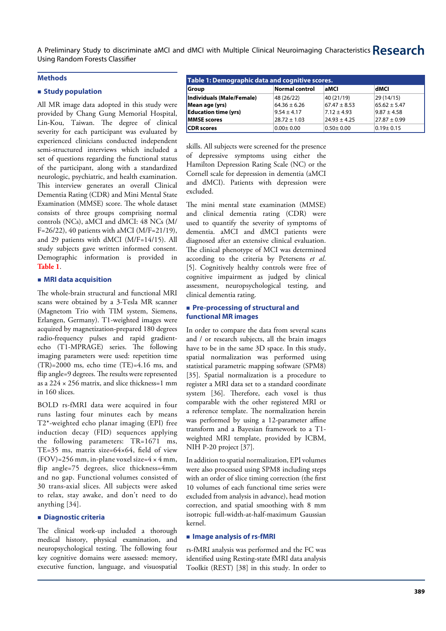#### **Methods**

### **Study population**

All MR image data adopted in this study were provided by Chang Gung Memorial Hospital, Lin-Kou, Taiwan. The degree of clinical severity for each participant was evaluated by experienced clinicians conducted independent semi-structured interviews which included a set of questions regarding the functional status of the participant, along with a standardized neurologic, psychiatric, and health examination. This interview generates an overall Clinical Dementia Rating (CDR) and Mini Mental State Examination (MMSE) score. The whole dataset consists of three groups comprising normal controls (NCs), aMCI and dMCI: 48 NCs (M/ F=26/22), 40 patients with aMCI (M/F=21/19), and 29 patients with dMCI (M/F=14/15). All study subjects gave written informed consent. Demographic information is provided in **Table 1**.

#### **MRI data acquisition**

The whole-brain structural and functional MRI scans were obtained by a 3-Tesla MR scanner (Magnetom Trio with TIM system, Siemens, Erlangen, Germany). T1-weighted images were acquired by magnetization-prepared 180 degrees radio-frequency pulses and rapid gradientecho (T1-MPRAGE) series. The following imaging parameters were used: repetition time  $(TR)=2000$  ms, echo time  $(TE)=4.16$  ms, and flip angle=9 degrees. The results were represented as a 224  $\times$  256 matrix, and slice thickness=1 mm in 160 slices.

BOLD rs-fMRI data were acquired in four runs lasting four minutes each by means T2\*-weighted echo planar imaging (EPI) free induction decay (FID) sequences applying the following parameters: TR=1671 ms, TE=35 ms, matrix size=64×64, field of view  $(FOV)=256$  mm, in-plane voxel size= $4 \times 4$  mm, flip angle=75 degrees, slice thickness=4mm and no gap. Functional volumes consisted of 30 trans-axial slices. All subjects were asked to relax, stay awake, and don't need to do anything [34].

#### **Diagnostic criteria**

The clinical work-up included a thorough medical history, physical examination, and neuropsychological testing. The following four key cognitive domains were assessed: memory, executive function, language, and visuospatial

| Table 1: Demographic data and cognitive scores. |                       |                  |                  |  |
|-------------------------------------------------|-----------------------|------------------|------------------|--|
| Group                                           | <b>Normal control</b> | aMCI             | dMCI             |  |
| Individuals (Male/Female)                       | 48 (26/22)            | 40 (21/19)       | 29(14/15)        |  |
| Mean age (yrs)                                  | $64.36 \pm 6.26$      | $67.47 \pm 8.53$ | $65.62 \pm 5.47$ |  |
| <b>Education time (yrs)</b>                     | $9.54 \pm 4.17$       | $7.12 \pm 4.93$  | $9.87 \pm 4.58$  |  |
| <b>MMSE</b> scores                              | $28.72 \pm 1.03$      | $24.93 \pm 4.25$ | $27.87 \pm 0.99$ |  |
| <b>CDR</b> scores                               | $0.00 + 0.00$         | $0.50 \pm 0.00$  | $0.19 \pm 0.15$  |  |

skills. All subjects were screened for the presence of depressive symptoms using either the Hamilton Depression Rating Scale (NC) or the Cornell scale for depression in dementia (aMCI and dMCI). Patients with depression were excluded.

The mini mental state examination (MMSE) and clinical dementia rating (CDR) were used to quantify the severity of symptoms of dementia. aMCI and dMCI patients were diagnosed after an extensive clinical evaluation. The clinical phenotype of MCI was determined according to the criteria by Petersens *et al*. [5]. Cognitively healthy controls were free of cognitive impairment as judged by clinical assessment, neuropsychological testing, and clinical dementia rating.

#### **Pre-processing of structural and functional MR images**

In order to compare the data from several scans and / or research subjects, all the brain images have to be in the same 3D space. In this study, spatial normalization was performed using statistical parametric mapping software (SPM8) [35]. Spatial normalization is a procedure to register a MRI data set to a standard coordinate system [36]. Therefore, each voxel is thus comparable with the other registered MRI or a reference template. The normalization herein was performed by using a 12-parameter affine transform and a Bayesian framework to a T1 weighted MRI template, provided by ICBM, NIH P-20 project [37].

In addition to spatial normalization, EPI volumes were also processed using SPM8 including steps with an order of slice timing correction (the first 10 volumes of each functional time series were excluded from analysis in advance), head motion correction, and spatial smoothing with 8 mm isotropic full-width-at-half-maximum Gaussian kernel.

#### **Image analysis of rs-fMRI**

rs-fMRI analysis was performed and the FC was identified using Resting-state fMRI data analysis Toolkit (REST) [38] in this study. In order to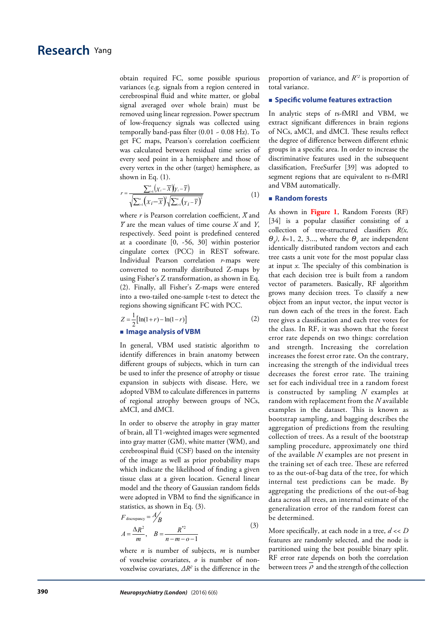obtain required FC, some possible spurious variances (e.g. signals from a region centered in cerebrospinal fluid and white matter, or global signal averaged over whole brain) must be removed using linear regression. Power spectrum of low-frequency signals was collected using temporally band-pass filter (0.01 ~ 0.08 Hz). To get FC maps, Pearson's correlation coefficient was calculated between residual time series of every seed point in a hemisphere and those of every vertex in the other (target) hemisphere, as shown in Eq. (1).

$$
r = \frac{\sum_{i=1}^{n} (X_i - \overline{X})(Y_i - \overline{Y})}{\sqrt{\sum_{i=1}^{n} (X_i - \overline{X})^2 \sqrt{\sum_{i=1}^{n} (Y_i - \overline{Y})^2}}}
$$
(1)

where *r* is Pearson correlation coefficient, *X̅*and *Y̅* are the mean values of time course *X* and *Y*, respectively. Seed point is predefined centered at a coordinate [0, -56, 30] within posterior cingulate cortex (PCC) in REST software. Individual Pearson correlation *r*-maps were converted to normally distributed Z-maps by using Fisher's Z transformation, as shown in Eq. (2). Finally, all Fisher's Z-maps were entered into a two-tailed one-sample t-test to detect the regions showing significant FC with PCC.

$$
Z = \frac{1}{2} [\ln(1+r) - \ln(1-r)]
$$
 (2)

**Image analysis of VBM**

In general, VBM used statistic algorithm to identify differences in brain anatomy between different groups of subjects, which in turn can be used to infer the presence of atrophy or tissue expansion in subjects with disease. Here, we adopted VBM to calculate differences in patterns of regional atrophy between groups of NCs, aMCI, and dMCI.

In order to observe the atrophy in gray matter of brain, all T1-weighted images were segmented into gray matter (GM), white matter (WM), and cerebrospinal fluid (CSF) based on the intensity of the image as well as prior probability maps which indicate the likelihood of finding a given tissue class at a given location. General linear model and the theory of Gaussian random fields were adopted in VBM to find the significance in statistics, as shown in Eq. (3).

$$
F_{\text{discrepancy}} = \frac{A}{B}
$$
  

$$
A = \frac{\Delta R^2}{m}, \quad B = \frac{R^{*2}}{n - m - o - 1}
$$
 (3)

where *n* is number of subjects, *m* is number of voxelwise covariates, *o* is number of nonvoxelwise covariates, *ΔR2* is the difference in the proportion of variance, and *R\*2* is proportion of total variance.

#### $\blacksquare$  Specific volume features extraction

In analytic steps of rs-fMRI and VBM, we extract significant differences in brain regions of NCs, aMCI, and dMCI. These results reflect the degree of difference between different ethnic groups in a specific area. In order to increase the discriminative features used in the subsequent classification, FreeSurfer [39] was adopted to segment regions that are equivalent to rs-fMRI and VBM automatically.

#### **Random forests**

As shown in **Figure 1**, Random Forests (RF) [34] is a popular classifier consisting of a collection of tree-structured classifiers *R(x, Θ*<sub>*k*</sub></sub>), *k*=1, 2, 3..., where the  $\Theta$ <sub>*k*</sub> are independent identically distributed random vectors and each tree casts a unit vote for the most popular class at input *x*. The specialty of this combination is that each decision tree is built from a random vector of parameters. Basically, RF algorithm grows many decision trees. To classify a new object from an input vector, the input vector is run down each of the trees in the forest. Each tree gives a classification and each tree votes for the class. In RF, it was shown that the forest error rate depends on two things: correlation and strength. Increasing the correlation increases the forest error rate. On the contrary, increasing the strength of the individual trees decreases the forest error rate. The training set for each individual tree in a random forest is constructed by sampling *N* examples at random with replacement from the *N* available examples in the dataset. This is known as bootstrap sampling, and bagging describes the aggregation of predictions from the resulting collection of trees. As a result of the bootstrap sampling procedure, approximately one third of the available *N* examples are not present in the training set of each tree. These are referred to as the out-of-bag data of the tree, for which internal test predictions can be made. By aggregating the predictions of the out-of-bag data across all trees, an internal estimate of the generalization error of the random forest can be determined.

More specifically, at each node in a tree, *d* << *D* features are randomly selected, and the node is partitioned using the best possible binary split. RF error rate depends on both the correlation between trees  $\rho$  and the strength of the collection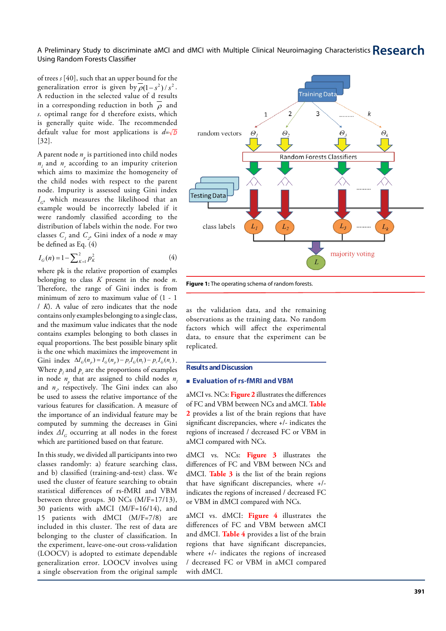of trees *s* [40], such that an upper bound for the generalization error is given by  $\overline{\rho}(1 - s^2)/s^2$ . A reduction in the selected value of d results in a corresponding reduction in both  $\rho$  and *s*. optimal range for d therefore exists, which is generally quite wide. The recommended default value for most applications is *d*= [32].

A parent node  $n_{\stackrel{\ }{\rho}}$  is partitioned into child nodes  $n_l$  and  $n_r$  according to an impurity criterion which aims to maximize the homogeneity of the child nodes with respect to the parent node. Impurity is assessed using Gini index  $I_{\alpha}$ , which measures the likelihood that an example would be incorrectly labeled if it were randomly classified according to the distribution of labels within the node. For two classes  $C_i$  and  $C_2$ , Gini index of a node *n* may be defined as Eq. (4)

$$
I_G(n) = 1 - \sum_{K=1}^{2} p_K^2
$$
 (4)

where pk is the relative proportion of examples belonging to class *K* present in the node *n*. Therefore, the range of Gini index is from minimum of zero to maximum value of (1 - 1 / *K*). A value of zero indicates that the node contains only examples belonging to a single class, and the maximum value indicates that the node contains examples belonging to both classes in equal proportions. The best possible binary split is the one which maximizes the improvement in Gini index  $\Delta I_G(n_p) = I_G(n_p) - p_l I_G(n_l) - p_r I_G(n_r)$ . Where  $p_l$  and  $p_r$  are the proportions of examples in node  $n_p$  that are assigned to child nodes  $n_p$ and *n r* , respectively. The Gini index can also be used to assess the relative importance of the various features for classification. A measure of the importance of an individual feature may be computed by summing the decreases in Gini index  $\Delta I_G$  occurring at all nodes in the forest which are partitioned based on that feature.

In this study, we divided all participants into two classes randomly: a) feature searching class, and b) classified (training-and-test) class. We used the cluster of feature searching to obtain statistical differences of rs-fMRI and VBM between three groups. 30 NCs (M/F=17/13), 30 patients with aMCI (M/F=16/14), and 15 patients with dMCI (M/F=7/8) are included in this cluster. The rest of data are belonging to the cluster of classification. In the experiment, leave-one-out cross-validation (LOOCV) is adopted to estimate dependable generalization error. LOOCV involves using a single observation from the original sample



**Figure 1:** The operating schema of random forests.

as the validation data, and the remaining observations as the training data. No random factors which will affect the experimental data, to ensure that the experiment can be replicated.

#### **Results and Discussion**

#### **Evaluation of rs-fMRI and VBM**

aMCI vs. NCs: **Figure 2** illustrates the differences of FC and VBM between NCs and aMCI. **Table 2** provides a list of the brain regions that have significant discrepancies, where +/- indicates the regions of increased / decreased FC or VBM in aMCI compared with NCs.

dMCI vs. NCs: **Figure 3** illustrates the differences of FC and VBM between NCs and dMCI. **Table 3** is the list of the brain regions that have significant discrepancies, where +/ indicates the regions of increased / decreased FC or VBM in dMCI compared with NCs.

aMCI vs. dMCI: **Figure 4** illustrates the differences of FC and VBM between aMCI and dMCI. **Table 4** provides a list of the brain regions that have significant discrepancies, where +/- indicates the regions of increased / decreased FC or VBM in aMCI compared with dMCI.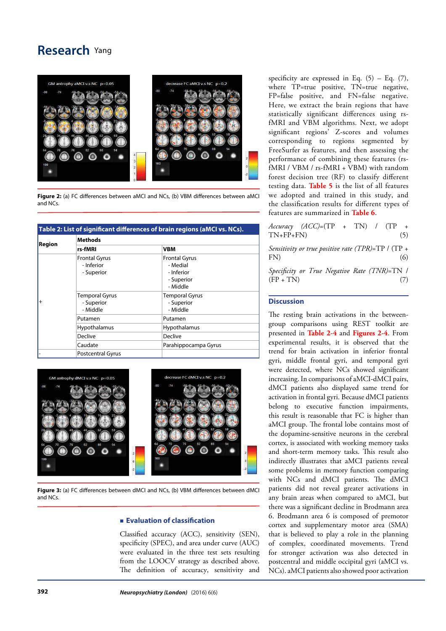# **Research** Yang



**Figure 2:** (a) FC differences between aMCI and NCs, (b) VBM differences between aMCI and NCs.

| <b>Region</b> | <b>Methods</b>                                   |                                                                          |  |
|---------------|--------------------------------------------------|--------------------------------------------------------------------------|--|
|               | rs-fMRI                                          | <b>VBM</b>                                                               |  |
|               | <b>Frontal Gyrus</b><br>- Inferior<br>- Superior | <b>Frontal Gyrus</b><br>- Medial<br>- Inferior<br>- Superior<br>- Middle |  |
| $^{+}$        | <b>Temporal Gyrus</b><br>- Superior<br>- Middle  | <b>Temporal Gyrus</b><br>- Superior<br>- Middle                          |  |
|               | Putamen                                          | Putamen                                                                  |  |
|               | Hypothalamus                                     | Hypothalamus                                                             |  |
|               | Declive                                          | Declive                                                                  |  |
|               | Caudate                                          | Parahippocampa Gyrus                                                     |  |
|               | <b>Postcentral Gyrus</b>                         |                                                                          |  |





**Figure 3:** (a) FC differences between dMCI and NCs, (b) VBM differences between dMCI and NCs.

#### **Evaluation of classification**

Classified accuracy (ACC), sensitivity (SEN), specificity (SPEC), and area under curve (AUC) were evaluated in the three test sets resulting from the LOOCV strategy as described above. The definition of accuracy, sensitivity and specificity are expressed in Eq.  $(5)$  – Eq.  $(7)$ , where TP=true positive, TN=true negative, FP=false positive, and FN=false negative. Here, we extract the brain regions that have statistically significant differences using rsfMRI and VBM algorithms. Next, we adopt significant regions' Z-scores and volumes corresponding to regions segmented by FreeSurfer as features, and then assessing the performance of combining these features (rsfMRI / VBM / rs-fMRI + VBM) with random forest decision tree (RF) to classify different testing data. **Table 5** is the list of all features we adopted and trained in this study, and the classification results for different types of features are summarized in **Table 6**.

*Accuracy (ACC)*=(TP + TN) / (TP +  $TN+FP+FN$  (5)

*Sensitivity or true positive rate (TPR)*=TP / (TP +  $FN)$  (6)

*Specificity or True Negative Rate (TNR)*=TN /  $(FP + TN)$  (7)

### **Discussion**

The resting brain activations in the betweengroup comparisons using REST toolkit are presented in **Table 2-4** and **Figures 2-4**. From experimental results, it is observed that the trend for brain activation in inferior frontal gyri, middle frontal gyri, and temporal gyri were detected, where NCs showed significant increasing. In comparisons of aMCI-dMCI pairs, dMCI patients also displayed same trend for activation in frontal gyri. Because dMCI patients belong to executive function impairments, this result is reasonable that FC is higher than aMCI group. The frontal lobe contains most of the dopamine-sensitive neurons in the cerebral cortex, is associated with working memory tasks and short-term memory tasks. This result also indirectly illustrates that aMCI patients reveal some problems in memory function comparing with NCs and dMCI patients. The dMCI patients did not reveal greater activations in any brain areas when compared to aMCI, but there was a significant decline in Brodmann area 6. Brodmann area 6 is composed of premotor cortex and supplementary motor area (SMA) that is believed to play a role in the planning of complex, coordinated movements. Trend for stronger activation was also detected in postcentral and middle occipital gyri (aMCI vs. NCs). aMCI patients also showed poor activation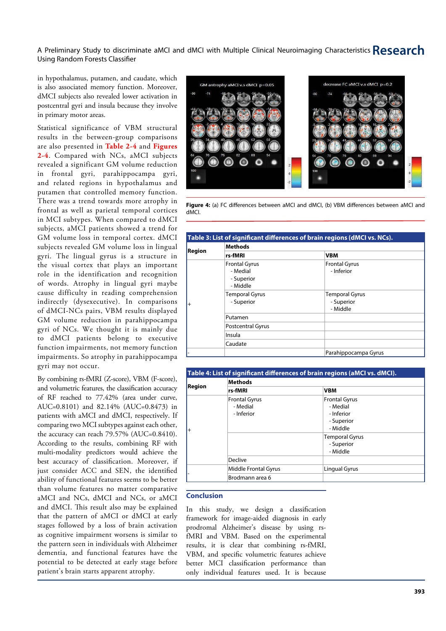in hypothalamus, putamen, and caudate, which is also associated memory function. Moreover, dMCI subjects also revealed lower activation in postcentral gyri and insula because they involve in primary motor areas.

Statistical significance of VBM structural results in the between-group comparisons are also presented in **Table 2-4** and **Figures 2-4**. Compared with NCs, aMCI subjects revealed a significant GM volume reduction in frontal gyri, parahippocampa gyri, and related regions in hypothalamus and putamen that controlled memory function. There was a trend towards more atrophy in frontal as well as parietal temporal cortices in MCI subtypes. When compared to dMCI subjects, aMCI patients showed a trend for GM volume loss in temporal cortex. dMCI subjects revealed GM volume loss in lingual gyri. The lingual gyrus is a structure in the visual cortex that plays an important role in the identification and recognition of words. Atrophy in lingual gyri maybe cause difficulty in reading comprehension indirectly (dysexecutive). In comparisons of dMCI-NCs pairs, VBM results displayed GM volume reduction in parahippocampa gyri of NCs. We thought it is mainly due to dMCI patients belong to executive function impairments, not memory function impairments. So atrophy in parahippocampa gyri may not occur.

By combining rs-fMRI (Z-score), VBM (F-score), and volumetric features, the classification accuracy of RF reached to 77.42% (area under curve, AUC=0.8101) and 82.14% (AUC=0.8473) in patients with aMCI and dMCI, respectively. If comparing two MCI subtypes against each other, the accuracy can reach 79.57% (AUC=0.8410). According to the results, combining RF with multi-modality predictors would achieve the best accuracy of classification. Moreover, if just consider ACC and SEN, the identified ability of functional features seems to be better than volume features no matter comparative aMCI and NCs, dMCI and NCs, or aMCI and dMCI. This result also may be explained that the pattern of aMCI or dMCI at early stages followed by a loss of brain activation as cognitive impairment worsens is similar to the pattern seen in individuals with Alzheimer dementia, and functional features have the potential to be detected at early stage before patient's brain starts apparent atrophy.



**Figure 4:** (a) FC differences between aMCI and dMCI, (b) VBM differences between aMCI and dMCI.

|           |                                                            | Table 3: List of significant differences of brain regions (dMCI vs. NCs). |  |
|-----------|------------------------------------------------------------|---------------------------------------------------------------------------|--|
| Region    | Methods                                                    |                                                                           |  |
|           | rs-fMRI                                                    | <b>VBM</b>                                                                |  |
| $\ddot{}$ | <b>Frontal Gyrus</b><br>- Medial<br>- Superior<br>- Middle | <b>Frontal Gyrus</b><br>- Inferior                                        |  |
|           | <b>Temporal Gyrus</b><br>- Superior                        | <b>Temporal Gyrus</b><br>- Superior<br>- Middle                           |  |
|           | Putamen                                                    |                                                                           |  |
|           | <b>Postcentral Gyrus</b>                                   |                                                                           |  |
|           | Insula                                                     |                                                                           |  |
|           | Caudate                                                    |                                                                           |  |
|           |                                                            | Parahippocampa Gyrus                                                      |  |

|        |                                                | Table 4: List of significant differences of brain regions (aMCI vs. dMCI). |  |
|--------|------------------------------------------------|----------------------------------------------------------------------------|--|
| Region | <b>Methods</b>                                 |                                                                            |  |
|        | rs-fMRI                                        | <b>VBM</b>                                                                 |  |
| $^{+}$ | <b>Frontal Gyrus</b><br>- Medial<br>- Inferior | <b>Frontal Gyrus</b><br>- Medial<br>- Inferior<br>- Superior<br>- Middle   |  |
|        |                                                | <b>Temporal Gyrus</b><br>- Superior<br>- Middle                            |  |
|        | Declive                                        |                                                                            |  |
|        | Middle Frontal Gyrus                           | Lingual Gyrus                                                              |  |
|        | Brodmann area 6                                |                                                                            |  |

### **Conclusion**

In this study, we design a classification framework for image-aided diagnosis in early prodromal Alzheimer's disease by using rsfMRI and VBM. Based on the experimental results, it is clear that combining rs-fMRI, VBM, and specific volumetric features achieve better MCI classification performance than only individual features used. It is because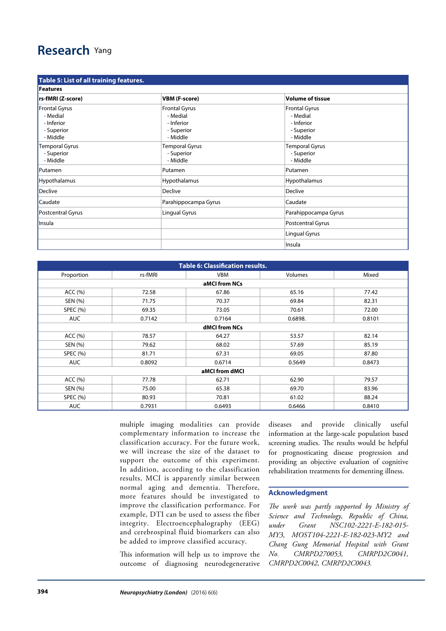# **Research** Yang

| Table 5: List of all training features.                                  |                                                                          |                                                                          |  |
|--------------------------------------------------------------------------|--------------------------------------------------------------------------|--------------------------------------------------------------------------|--|
| <b>Features</b>                                                          |                                                                          |                                                                          |  |
| rs-fMRI (Z-score)                                                        | <b>VBM (F-score)</b>                                                     | <b>Volume of tissue</b>                                                  |  |
| <b>Frontal Gyrus</b><br>- Medial<br>- Inferior<br>- Superior<br>- Middle | <b>Frontal Gyrus</b><br>- Medial<br>- Inferior<br>- Superior<br>- Middle | <b>Frontal Gyrus</b><br>- Medial<br>- Inferior<br>- Superior<br>- Middle |  |
| <b>Temporal Gyrus</b><br>- Superior<br>- Middle                          | <b>Temporal Gyrus</b><br>- Superior<br>- Middle                          | <b>Temporal Gyrus</b><br>- Superior<br>- Middle                          |  |
| Putamen                                                                  | Putamen                                                                  | Putamen                                                                  |  |
| Hypothalamus                                                             | Hypothalamus                                                             | Hypothalamus                                                             |  |
| Declive                                                                  | <b>Declive</b>                                                           | Declive                                                                  |  |
| Caudate                                                                  | Parahippocampa Gyrus                                                     | Caudate                                                                  |  |
| Postcentral Gyrus                                                        | Lingual Gyrus                                                            | Parahippocampa Gyrus                                                     |  |
| Insula                                                                   |                                                                          | Postcentral Gyrus                                                        |  |
|                                                                          |                                                                          | Lingual Gyrus                                                            |  |
|                                                                          |                                                                          | Insula                                                                   |  |

| <b>Table 6: Classification results.</b> |         |               |         |        |
|-----------------------------------------|---------|---------------|---------|--------|
| Proportion                              | rs-fMRI | VBM           | Volumes | Mixed  |
|                                         |         | aMCI from NCs |         |        |
| ACC (%)                                 | 72.58   | 67.86         | 65.16   | 77.42  |
| SEN (%)                                 | 71.75   | 70.37         | 69.84   | 82.31  |
| <b>SPEC (%)</b>                         | 69.35   | 73.05         | 70.61   | 72.00  |
| <b>AUC</b>                              | 0.7142  | 0.7164        | 0.6898. | 0.8101 |
|                                         |         | dMCI from NCs |         |        |
| ACC (%)                                 | 78.57   | 64.27         | 53.57   | 82.14  |
| SEN (%)                                 | 79.62   | 68.02         | 57.69   | 85.19  |
| <b>SPEC (%)</b>                         | 81.71   | 67.31         | 69.05   | 87.80  |
| <b>AUC</b>                              | 0.8092  | 0.6714        | 0.5649  | 0.8473 |
| aMCI from dMCI                          |         |               |         |        |
| ACC (%)                                 | 77.78   | 62.71         | 62.90   | 79.57  |
| SEN (%)                                 | 75.00   | 65.38         | 69.70   | 83.96  |
| <b>SPEC (%)</b>                         | 80.93   | 70.81         | 61.02   | 88.24  |
| <b>AUC</b>                              | 0.7931  | 0.6493        | 0.6466  | 0.8410 |

multiple imaging modalities can provide complementary information to increase the classification accuracy. For the future work, we will increase the size of the dataset to support the outcome of this experiment. In addition, according to the classification results, MCI is apparently similar between normal aging and dementia. Therefore, more features should be investigated to improve the classification performance. For example, DTI can be used to assess the fiber integrity. Electroencephalography (EEG) and cerebrospinal fluid biomarkers can also be added to improve classified accuracy.

This information will help us to improve the outcome of diagnosing neurodegenerative diseases and provide clinically useful information at the large-scale population based screening studies. The results would be helpful for prognosticating disease progression and providing an objective evaluation of cognitive rehabilitation treatments for dementing illness.

#### **Acknowledgment**

*The work was partly supported by Ministry of Science and Technology, Republic of China, under Grant NSC102-2221-E-182-015- MY3, MOST104-2221-E-182-023-MY2 and Chang Gung Memorial Hospital with Grant No. CMRPD270053, CMRPD2C0041, CMRPD2C0042, CMRPD2C0043.*